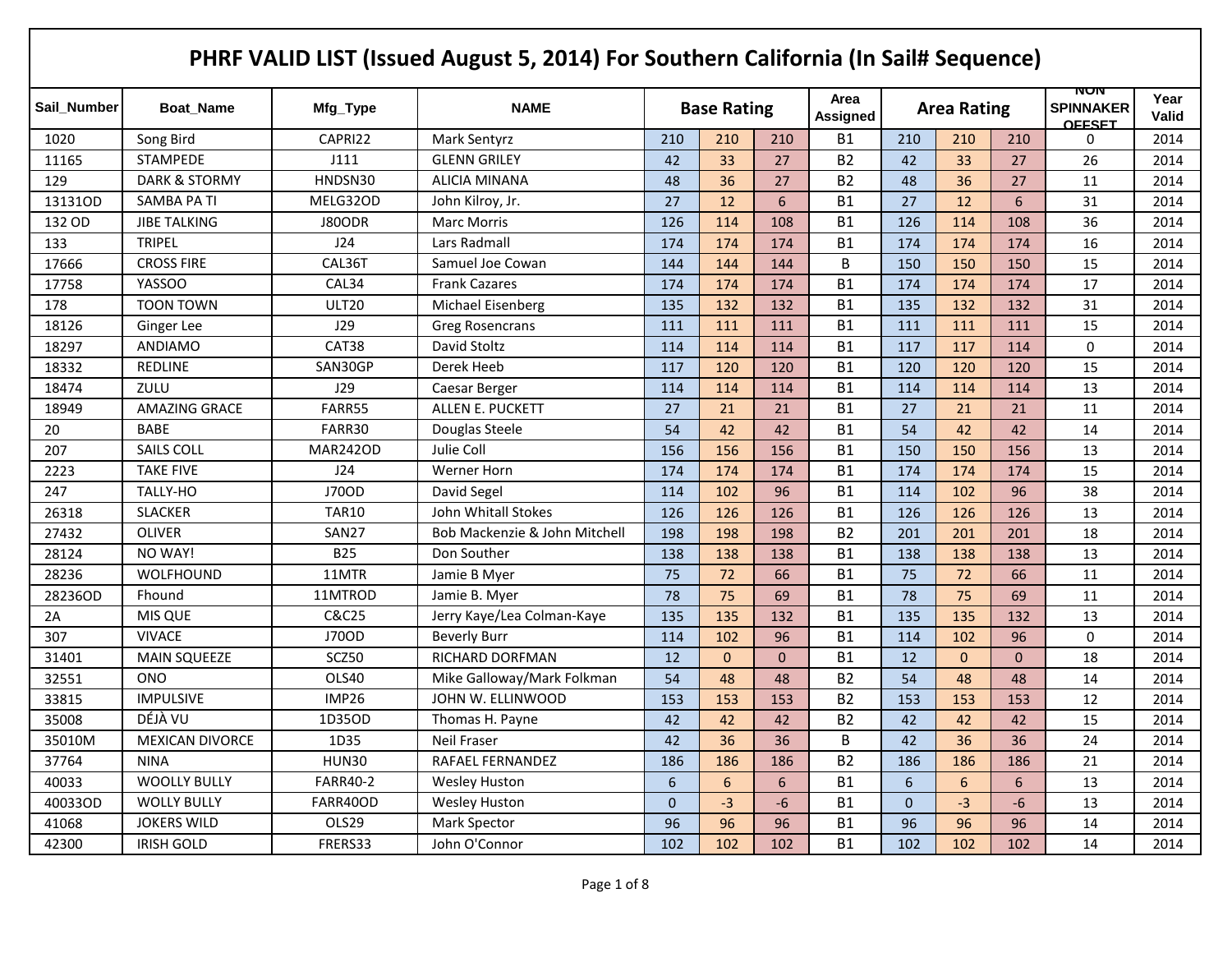|             |                          |                 | PHRF VALID LIST (Issued August 5, 2014) For Southern California (In Sail# Sequence) |                |                    |                |                  |                |                    |          |                                          |                      |
|-------------|--------------------------|-----------------|-------------------------------------------------------------------------------------|----------------|--------------------|----------------|------------------|----------------|--------------------|----------|------------------------------------------|----------------------|
| Sail Number | <b>Boat Name</b>         | Mfg_Type        | <b>NAME</b>                                                                         |                | <b>Base Rating</b> |                | Area<br>Assigned |                | <b>Area Rating</b> |          | NUN<br><b>SPINNAKER</b><br><b>OFFSET</b> | Year<br><b>Valid</b> |
| 1020        | Song Bird                | CAPRI22         | Mark Sentyrz                                                                        | 210            | 210                | 210            | <b>B1</b>        | 210            | 210                | 210      | 0                                        | 2014                 |
| 11165       | <b>STAMPEDE</b>          | J111            | <b>GLENN GRILEY</b>                                                                 | 42             | 33                 | 27             | <b>B2</b>        | 42             | 33                 | 27       | 26                                       | 2014                 |
| 129         | <b>DARK &amp; STORMY</b> | HNDSN30         | ALICIA MINANA                                                                       | 48             | 36                 | 27             | <b>B2</b>        | 48             | 36                 | 27       | 11                                       | 2014                 |
| 13131OD     | SAMBA PA TI              | MELG32OD        | John Kilroy, Jr.                                                                    | 27             | 12                 | 6              | <b>B1</b>        | 27             | 12                 | 6        | 31                                       | 2014                 |
| 132 OD      | <b>JIBE TALKING</b>      | J80ODR          | <b>Marc Morris</b>                                                                  | 126            | 114                | 108            | <b>B1</b>        | 126            | 114                | 108      | 36                                       | 2014                 |
| 133         | <b>TRIPEL</b>            | J24             | Lars Radmall                                                                        | 174            | 174                | 174            | <b>B1</b>        | 174            | 174                | 174      | 16                                       | 2014                 |
| 17666       | <b>CROSS FIRE</b>        | CAL36T          | Samuel Joe Cowan                                                                    | 144            | 144                | 144            | B                | 150            | 150                | 150      | 15                                       | 2014                 |
| 17758       | YASSOO                   | CAL34           | <b>Frank Cazares</b>                                                                | 174            | 174                | 174            | <b>B1</b>        | 174            | 174                | 174      | 17                                       | 2014                 |
| 178         | <b>TOON TOWN</b>         | <b>ULT20</b>    | Michael Eisenberg                                                                   | 135            | 132                | 132            | <b>B1</b>        | 135            | 132                | 132      | 31                                       | 2014                 |
| 18126       | Ginger Lee               | J29             | <b>Greg Rosencrans</b>                                                              | 111            | 111                | 111            | <b>B1</b>        | 111            | 111                | 111      | 15                                       | 2014                 |
| 18297       | <b>ANDIAMO</b>           | CAT38           | David Stoltz                                                                        | 114            | 114                | 114            | <b>B1</b>        | 117            | 117                | 114      | $\mathbf 0$                              | 2014                 |
| 18332       | <b>REDLINE</b>           | SAN30GP         | Derek Heeb                                                                          | 117            | 120                | 120            | <b>B1</b>        | 120            | 120                | 120      | 15                                       | 2014                 |
| 18474       | ZULU                     | J29             | Caesar Berger                                                                       | 114            | 114                | 114            | <b>B1</b>        | 114            | 114                | 114      | 13                                       | 2014                 |
| 18949       | <b>AMAZING GRACE</b>     | FARR55          | ALLEN E. PUCKETT                                                                    | 27             | 21                 | 21             | <b>B1</b>        | 27             | 21                 | 21       | 11                                       | 2014                 |
| 20          | <b>BABE</b>              | FARR30          | Douglas Steele                                                                      | 54             | 42                 | 42             | <b>B1</b>        | 54             | 42                 | 42       | 14                                       | 2014                 |
| 207         | <b>SAILS COLL</b>        | <b>MAR242OD</b> | Julie Coll                                                                          | 156            | 156                | 156            | <b>B1</b>        | 150            | 150                | 156      | 13                                       | 2014                 |
| 2223        | <b>TAKE FIVE</b>         | J24             | Werner Horn                                                                         | 174            | 174                | 174            | <b>B1</b>        | 174            | 174                | 174      | 15                                       | 2014                 |
| 247         | TALLY-HO                 | J70OD           | David Segel                                                                         | 114            | 102                | 96             | <b>B1</b>        | 114            | 102                | 96       | 38                                       | 2014                 |
| 26318       | <b>SLACKER</b>           | <b>TAR10</b>    | John Whitall Stokes                                                                 | 126            | 126                | 126            | <b>B1</b>        | 126            | 126                | 126      | 13                                       | 2014                 |
| 27432       | <b>OLIVER</b>            | SAN27           | Bob Mackenzie & John Mitchell                                                       | 198            | 198                | 198            | <b>B2</b>        | 201            | 201                | 201      | 18                                       | 2014                 |
| 28124       | NO WAY!                  | <b>B25</b>      | Don Souther                                                                         | 138            | 138                | 138            | <b>B1</b>        | 138            | 138                | 138      | 13                                       | 2014                 |
| 28236       | WOLFHOUND                | 11MTR           | Jamie B Myer                                                                        | 75             | 72                 | 66             | <b>B1</b>        | 75             | 72                 | 66       | 11                                       | 2014                 |
| 28236OD     | Fhound                   | 11MTROD         | Jamie B. Myer                                                                       | 78             | 75                 | 69             | <b>B1</b>        | 78             | 75                 | 69       | 11                                       | 2014                 |
| 2A          | MIS QUE                  | C&C25           | Jerry Kaye/Lea Colman-Kaye                                                          | 135            | 135                | 132            | <b>B1</b>        | 135            | 135                | 132      | 13                                       | 2014                 |
| 307         | <b>VIVACE</b>            | J70OD           | <b>Beverly Burr</b>                                                                 | 114            | 102                | 96             | <b>B1</b>        | 114            | 102                | 96       | $\mathbf 0$                              | 2014                 |
| 31401       | <b>MAIN SQUEEZE</b>      | SCZ50           | <b>RICHARD DORFMAN</b>                                                              | 12             | $\mathbf{0}$       | $\overline{0}$ | <b>B1</b>        | 12             | $\Omega$           | $\Omega$ | 18                                       | 2014                 |
| 32551       | <b>ONO</b>               | OLS40           | Mike Galloway/Mark Folkman                                                          | 54             | 48                 | 48             | <b>B2</b>        | 54             | 48                 | 48       | 14                                       | 2014                 |
| 33815       | <b>IMPULSIVE</b>         | IMP26           | JOHN W. ELLINWOOD                                                                   | 153            | 153                | 153            | <b>B2</b>        | 153            | 153                | 153      | 12                                       | 2014                 |
| 35008       | DÉJÀ VU                  | 1D35OD          | Thomas H. Payne                                                                     | 42             | 42                 | 42             | <b>B2</b>        | 42             | 42                 | 42       | 15                                       | 2014                 |
| 35010M      | <b>MEXICAN DIVORCE</b>   | 1D35            | Neil Fraser                                                                         | 42             | 36                 | 36             | B                | 42             | 36                 | 36       | 24                                       | 2014                 |
| 37764       | <b>NINA</b>              | <b>HUN30</b>    | RAFAEL FERNANDEZ                                                                    | 186            | 186                | 186            | <b>B2</b>        | 186            | 186                | 186      | 21                                       | 2014                 |
| 40033       | <b>WOOLLY BULLY</b>      | <b>FARR40-2</b> | <b>Wesley Huston</b>                                                                | 6              | 6                  | 6              | <b>B1</b>        | $6\phantom{1}$ | 6                  | 6        | 13                                       | 2014                 |
| 40033OD     | <b>WOLLY BULLY</b>       | FARR40OD        | <b>Wesley Huston</b>                                                                | $\overline{0}$ | $-3$               | -6             | <b>B1</b>        | $\mathbf{0}$   | $-3$               | $-6$     | 13                                       | 2014                 |
| 41068       | <b>JOKERS WILD</b>       | OLS29           | Mark Spector                                                                        | 96             | 96                 | 96             | <b>B1</b>        | 96             | 96                 | 96       | 14                                       | 2014                 |
| 42300       | <b>IRISH GOLD</b>        | FRERS33         | John O'Connor                                                                       | 102            | 102                | 102            | <b>B1</b>        | 102            | 102                | 102      | 14                                       | 2014                 |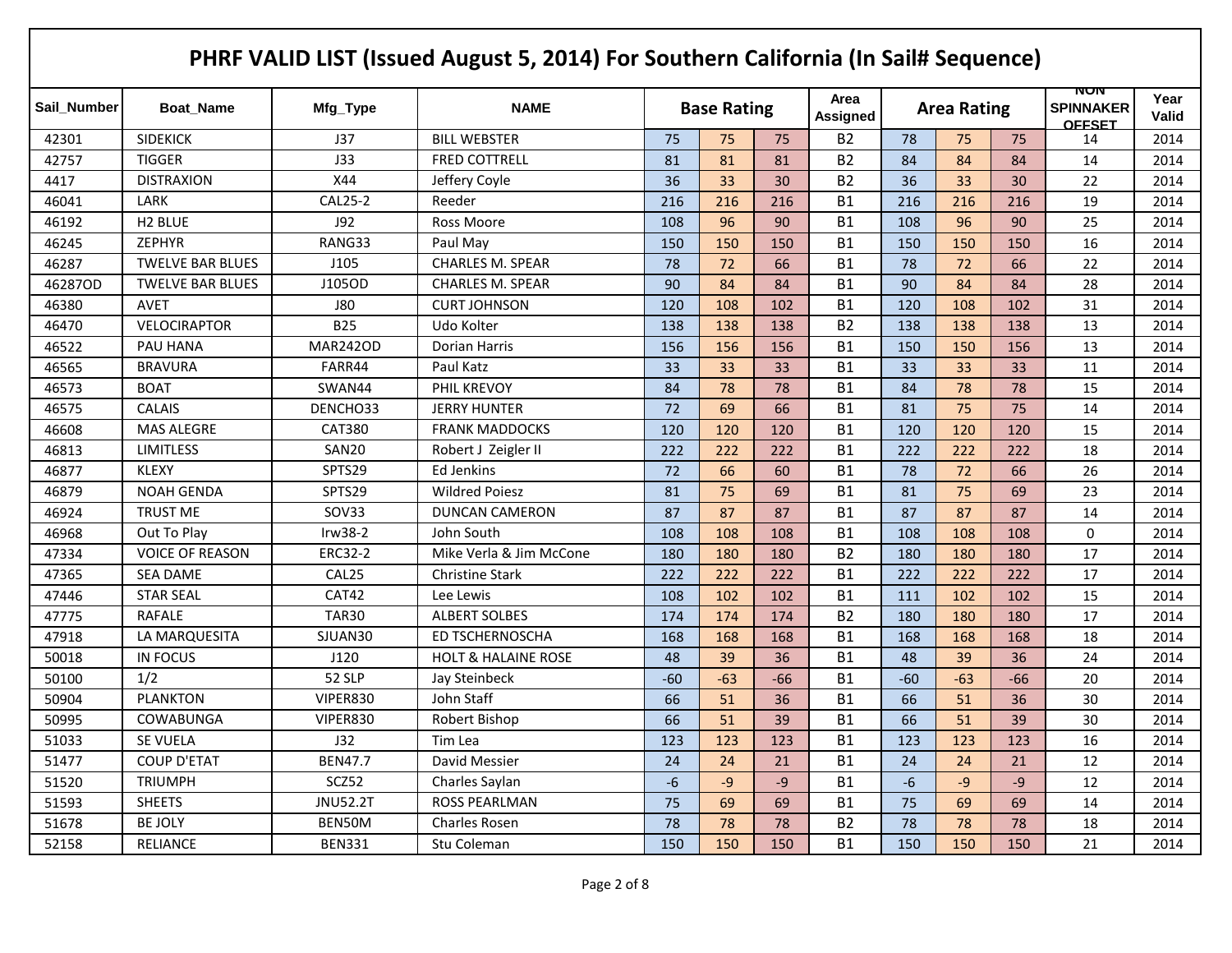|             |                         |                   | PHRF VALID LIST (Issued August 5, 2014) For Southern California (In Sail# Sequence) |       |                    |       |                         |       |                    |       |                                          |                      |
|-------------|-------------------------|-------------------|-------------------------------------------------------------------------------------|-------|--------------------|-------|-------------------------|-------|--------------------|-------|------------------------------------------|----------------------|
| Sail Number | <b>Boat Name</b>        | Mfg_Type          | <b>NAME</b>                                                                         |       | <b>Base Rating</b> |       | Area<br><b>Assigned</b> |       | <b>Area Rating</b> |       | NUN<br><b>SPINNAKER</b><br><b>OFFSET</b> | Year<br><b>Valid</b> |
| 42301       | <b>SIDEKICK</b>         | J37               | <b>BILL WEBSTER</b>                                                                 | 75    | 75                 | 75    | <b>B2</b>               | 78    | 75                 | 75    | 14                                       | 2014                 |
| 42757       | <b>TIGGER</b>           | J33               | <b>FRED COTTRELL</b>                                                                | 81    | 81                 | 81    | <b>B2</b>               | 84    | 84                 | 84    | 14                                       | 2014                 |
| 4417        | <b>DISTRAXION</b>       | X44               | Jeffery Coyle                                                                       | 36    | 33                 | 30    | <b>B2</b>               | 36    | 33                 | 30    | 22                                       | 2014                 |
| 46041       | LARK                    | <b>CAL25-2</b>    | Reeder                                                                              | 216   | 216                | 216   | <b>B1</b>               | 216   | 216                | 216   | 19                                       | 2014                 |
| 46192       | H <sub>2</sub> BLUE     | J92               | Ross Moore                                                                          | 108   | 96                 | 90    | <b>B1</b>               | 108   | 96                 | 90    | 25                                       | 2014                 |
| 46245       | <b>ZEPHYR</b>           | RANG33            | Paul May                                                                            | 150   | 150                | 150   | <b>B1</b>               | 150   | 150                | 150   | 16                                       | 2014                 |
| 46287       | <b>TWELVE BAR BLUES</b> | J105              | <b>CHARLES M. SPEAR</b>                                                             | 78    | 72                 | 66    | <b>B1</b>               | 78    | 72                 | 66    | 22                                       | 2014                 |
| 46287OD     | <b>TWELVE BAR BLUES</b> | J105OD            | <b>CHARLES M. SPEAR</b>                                                             | 90    | 84                 | 84    | <b>B1</b>               | 90    | 84                 | 84    | 28                                       | 2014                 |
| 46380       | AVET                    | <b>J80</b>        | <b>CURT JOHNSON</b>                                                                 | 120   | 108                | 102   | <b>B1</b>               | 120   | 108                | 102   | 31                                       | 2014                 |
| 46470       | <b>VELOCIRAPTOR</b>     | <b>B25</b>        | Udo Kolter                                                                          | 138   | 138                | 138   | <b>B2</b>               | 138   | 138                | 138   | 13                                       | 2014                 |
| 46522       | PAU HANA                | <b>MAR242OD</b>   | Dorian Harris                                                                       | 156   | 156                | 156   | <b>B1</b>               | 150   | 150                | 156   | 13                                       | 2014                 |
| 46565       | <b>BRAVURA</b>          | FARR44            | Paul Katz                                                                           | 33    | 33                 | 33    | <b>B1</b>               | 33    | 33                 | 33    | 11                                       | 2014                 |
| 46573       | <b>BOAT</b>             | SWAN44            | PHIL KREVOY                                                                         | 84    | 78                 | 78    | <b>B1</b>               | 84    | 78                 | 78    | 15                                       | 2014                 |
| 46575       | <b>CALAIS</b>           | DENCHO33          | <b>JERRY HUNTER</b>                                                                 | 72    | 69                 | 66    | <b>B1</b>               | 81    | 75                 | 75    | 14                                       | 2014                 |
| 46608       | <b>MAS ALEGRE</b>       | <b>CAT380</b>     | <b>FRANK MADDOCKS</b>                                                               | 120   | 120                | 120   | <b>B1</b>               | 120   | 120                | 120   | 15                                       | 2014                 |
| 46813       | <b>LIMITLESS</b>        | SAN20             | Robert J Zeigler II                                                                 | 222   | 222                | 222   | <b>B1</b>               | 222   | 222                | 222   | 18                                       | 2014                 |
| 46877       | <b>KLEXY</b>            | SPTS29            | Ed Jenkins                                                                          | 72    | 66                 | 60    | <b>B1</b>               | 78    | 72                 | 66    | 26                                       | 2014                 |
| 46879       | <b>NOAH GENDA</b>       | SPTS29            | <b>Wildred Poiesz</b>                                                               | 81    | 75                 | 69    | <b>B1</b>               | 81    | 75                 | 69    | 23                                       | 2014                 |
| 46924       | <b>TRUST ME</b>         | <b>SOV33</b>      | <b>DUNCAN CAMERON</b>                                                               | 87    | 87                 | 87    | <b>B1</b>               | 87    | 87                 | 87    | 14                                       | 2014                 |
| 46968       | Out To Play             | $Irw38-2$         | John South                                                                          | 108   | 108                | 108   | <b>B1</b>               | 108   | 108                | 108   | 0                                        | 2014                 |
| 47334       | <b>VOICE OF REASON</b>  | <b>ERC32-2</b>    | Mike Verla & Jim McCone                                                             | 180   | 180                | 180   | <b>B2</b>               | 180   | 180                | 180   | 17                                       | 2014                 |
| 47365       | <b>SEA DAME</b>         | CAL <sub>25</sub> | <b>Christine Stark</b>                                                              | 222   | 222                | 222   | <b>B1</b>               | 222   | 222                | 222   | 17                                       | 2014                 |
| 47446       | <b>STAR SEAL</b>        | CAT42             | Lee Lewis                                                                           | 108   | 102                | 102   | <b>B1</b>               | 111   | 102                | 102   | 15                                       | 2014                 |
| 47775       | <b>RAFALE</b>           | <b>TAR30</b>      | <b>ALBERT SOLBES</b>                                                                | 174   | 174                | 174   | <b>B2</b>               | 180   | 180                | 180   | 17                                       | 2014                 |
| 47918       | LA MARQUESITA           | SJUAN30           | <b>ED TSCHERNOSCHA</b>                                                              | 168   | 168                | 168   | <b>B1</b>               | 168   | 168                | 168   | 18                                       | 2014                 |
| 50018       | <b>IN FOCUS</b>         | J120              | <b>HOLT &amp; HALAINE ROSE</b>                                                      | 48    | 39                 | 36    | <b>B1</b>               | 48    | 39                 | 36    | 24                                       | 2014                 |
| 50100       | 1/2                     | <b>52 SLP</b>     | Jay Steinbeck                                                                       | $-60$ | $-63$              | $-66$ | <b>B1</b>               | $-60$ | $-63$              | $-66$ | 20                                       | 2014                 |
| 50904       | <b>PLANKTON</b>         | VIPER830          | John Staff                                                                          | 66    | 51                 | 36    | <b>B1</b>               | 66    | 51                 | 36    | 30                                       | 2014                 |
| 50995       | <b>COWABUNGA</b>        | VIPER830          | Robert Bishop                                                                       | 66    | 51                 | 39    | <b>B1</b>               | 66    | 51                 | 39    | 30                                       | 2014                 |
| 51033       | SE VUELA                | J32               | Tim Lea                                                                             | 123   | 123                | 123   | <b>B1</b>               | 123   | 123                | 123   | 16                                       | 2014                 |
| 51477       | <b>COUP D'ETAT</b>      | <b>BEN47.7</b>    | David Messier                                                                       | 24    | 24                 | 21    | <b>B1</b>               | 24    | 24                 | 21    | 12                                       | 2014                 |
| 51520       | <b>TRIUMPH</b>          | SCZ52             | Charles Saylan                                                                      | $-6$  | $-9$               | $-9$  | <b>B1</b>               | $-6$  | $-9$               | $-9$  | 12                                       | 2014                 |
| 51593       | <b>SHEETS</b>           | <b>JNU52.2T</b>   | <b>ROSS PEARLMAN</b>                                                                | 75    | 69                 | 69    | <b>B1</b>               | 75    | 69                 | 69    | 14                                       | 2014                 |
| 51678       | <b>BE JOLY</b>          | BEN50M            | Charles Rosen                                                                       | 78    | 78                 | 78    | <b>B2</b>               | 78    | 78                 | 78    | 18                                       | 2014                 |
| 52158       | <b>RELIANCE</b>         | <b>BEN331</b>     | Stu Coleman                                                                         | 150   | 150                | 150   | <b>B1</b>               | 150   | 150                | 150   | 21                                       | 2014                 |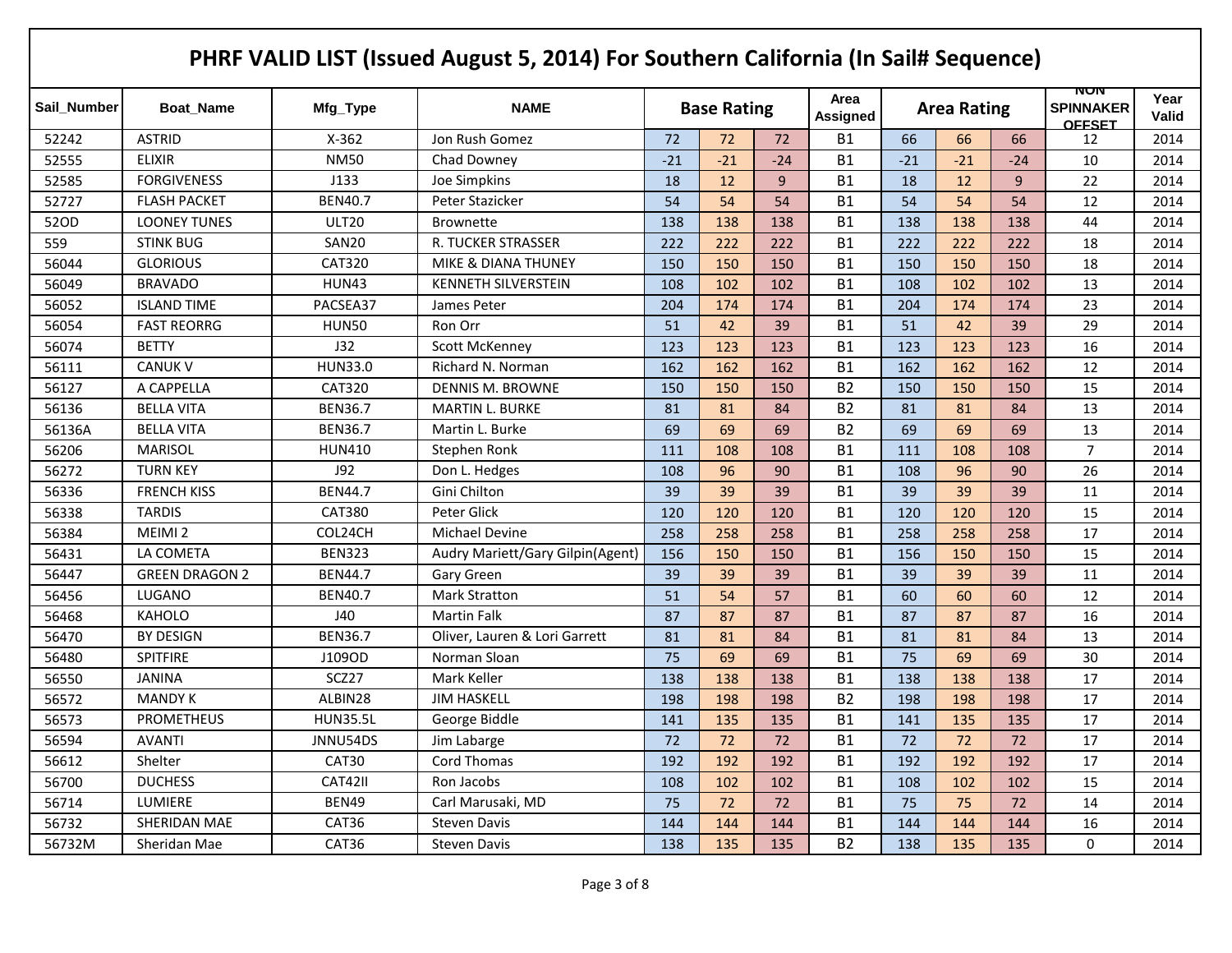|             |                       |                 | PHRF VALID LIST (Issued August 5, 2014) For Southern California (In Sail# Sequence) |       |                    |       |                  |       |                    |       |                                          |               |
|-------------|-----------------------|-----------------|-------------------------------------------------------------------------------------|-------|--------------------|-------|------------------|-------|--------------------|-------|------------------------------------------|---------------|
| Sail Number | <b>Boat Name</b>      | Mfg_Type        | <b>NAME</b>                                                                         |       | <b>Base Rating</b> |       | Area<br>Assigned |       | <b>Area Rating</b> |       | NUN<br><b>SPINNAKER</b><br><b>OFFSET</b> | Year<br>Valid |
| 52242       | <b>ASTRID</b>         | $X-362$         | Jon Rush Gomez                                                                      | 72    | 72                 | 72    | <b>B1</b>        | 66    | 66                 | 66    | 12                                       | 2014          |
| 52555       | <b>ELIXIR</b>         | <b>NM50</b>     | Chad Downey                                                                         | $-21$ | $-21$              | $-24$ | <b>B1</b>        | $-21$ | $-21$              | $-24$ | 10                                       | 2014          |
| 52585       | <b>FORGIVENESS</b>    | J133            | Joe Simpkins                                                                        | 18    | 12                 | 9     | <b>B1</b>        | 18    | 12                 | 9     | 22                                       | 2014          |
| 52727       | <b>FLASH PACKET</b>   | <b>BEN40.7</b>  | Peter Stazicker                                                                     | 54    | 54                 | 54    | <b>B1</b>        | 54    | 54                 | 54    | 12                                       | 2014          |
| 52OD        | <b>LOONEY TUNES</b>   | <b>ULT20</b>    | Brownette                                                                           | 138   | 138                | 138   | <b>B1</b>        | 138   | 138                | 138   | 44                                       | 2014          |
| 559         | <b>STINK BUG</b>      | SAN20           | R. TUCKER STRASSER                                                                  | 222   | 222                | 222   | <b>B1</b>        | 222   | 222                | 222   | 18                                       | 2014          |
| 56044       | <b>GLORIOUS</b>       | <b>CAT320</b>   | <b>MIKE &amp; DIANA THUNEY</b>                                                      | 150   | 150                | 150   | <b>B1</b>        | 150   | 150                | 150   | 18                                       | 2014          |
| 56049       | <b>BRAVADO</b>        | <b>HUN43</b>    | <b>KENNETH SILVERSTEIN</b>                                                          | 108   | 102                | 102   | <b>B1</b>        | 108   | 102                | 102   | 13                                       | 2014          |
| 56052       | <b>ISLAND TIME</b>    | PACSEA37        | James Peter                                                                         | 204   | 174                | 174   | <b>B1</b>        | 204   | 174                | 174   | 23                                       | 2014          |
| 56054       | <b>FAST REORRG</b>    | <b>HUN50</b>    | Ron Orr                                                                             | 51    | 42                 | 39    | <b>B1</b>        | 51    | 42                 | 39    | 29                                       | 2014          |
| 56074       | <b>BETTY</b>          | J32             | <b>Scott McKenney</b>                                                               | 123   | 123                | 123   | <b>B1</b>        | 123   | 123                | 123   | 16                                       | 2014          |
| 56111       | <b>CANUK V</b>        | <b>HUN33.0</b>  | Richard N. Norman                                                                   | 162   | 162                | 162   | <b>B1</b>        | 162   | 162                | 162   | 12                                       | 2014          |
| 56127       | A CAPPELLA            | <b>CAT320</b>   | <b>DENNIS M. BROWNE</b>                                                             | 150   | 150                | 150   | <b>B2</b>        | 150   | 150                | 150   | 15                                       | 2014          |
| 56136       | <b>BELLA VITA</b>     | <b>BEN36.7</b>  | <b>MARTIN L. BURKE</b>                                                              | 81    | 81                 | 84    | <b>B2</b>        | 81    | 81                 | 84    | 13                                       | 2014          |
| 56136A      | <b>BELLA VITA</b>     | <b>BEN36.7</b>  | Martin L. Burke                                                                     | 69    | 69                 | 69    | <b>B2</b>        | 69    | 69                 | 69    | 13                                       | 2014          |
| 56206       | <b>MARISOL</b>        | <b>HUN410</b>   | Stephen Ronk                                                                        | 111   | 108                | 108   | <b>B1</b>        | 111   | 108                | 108   | $\overline{7}$                           | 2014          |
| 56272       | <b>TURN KEY</b>       | J92             | Don L. Hedges                                                                       | 108   | 96                 | 90    | <b>B1</b>        | 108   | 96                 | 90    | 26                                       | 2014          |
| 56336       | <b>FRENCH KISS</b>    | <b>BEN44.7</b>  | Gini Chilton                                                                        | 39    | 39                 | 39    | <b>B1</b>        | 39    | 39                 | 39    | 11                                       | 2014          |
| 56338       | <b>TARDIS</b>         | <b>CAT380</b>   | Peter Glick                                                                         | 120   | 120                | 120   | <b>B1</b>        | 120   | 120                | 120   | 15                                       | 2014          |
| 56384       | MEIMI <sub>2</sub>    | COL24CH         | <b>Michael Devine</b>                                                               | 258   | 258                | 258   | <b>B1</b>        | 258   | 258                | 258   | 17                                       | 2014          |
| 56431       | LA COMETA             | <b>BEN323</b>   | Audry Mariett/Gary Gilpin(Agent)                                                    | 156   | 150                | 150   | <b>B1</b>        | 156   | 150                | 150   | 15                                       | 2014          |
| 56447       | <b>GREEN DRAGON 2</b> | <b>BEN44.7</b>  | Gary Green                                                                          | 39    | 39                 | 39    | <b>B1</b>        | 39    | 39                 | 39    | 11                                       | 2014          |
| 56456       | LUGANO                | <b>BEN40.7</b>  | <b>Mark Stratton</b>                                                                | 51    | 54                 | 57    | <b>B1</b>        | 60    | 60                 | 60    | 12                                       | 2014          |
| 56468       | <b>KAHOLO</b>         | J40             | <b>Martin Falk</b>                                                                  | 87    | 87                 | 87    | <b>B1</b>        | 87    | 87                 | 87    | 16                                       | 2014          |
| 56470       | <b>BY DESIGN</b>      | <b>BEN36.7</b>  | Oliver, Lauren & Lori Garrett                                                       | 81    | 81                 | 84    | <b>B1</b>        | 81    | 81                 | 84    | 13                                       | 2014          |
| 56480       | <b>SPITFIRE</b>       | J109OD          | Norman Sloan                                                                        | 75    | 69                 | 69    | <b>B1</b>        | 75    | 69                 | 69    | 30                                       | 2014          |
| 56550       | <b>JANINA</b>         | SCZ27           | Mark Keller                                                                         | 138   | 138                | 138   | <b>B1</b>        | 138   | 138                | 138   | 17                                       | 2014          |
| 56572       | <b>MANDY K</b>        | ALBIN28         | <b>JIM HASKELL</b>                                                                  | 198   | 198                | 198   | <b>B2</b>        | 198   | 198                | 198   | 17                                       | 2014          |
| 56573       | <b>PROMETHEUS</b>     | <b>HUN35.5L</b> | George Biddle                                                                       | 141   | 135                | 135   | <b>B1</b>        | 141   | 135                | 135   | 17                                       | 2014          |
| 56594       | <b>AVANTI</b>         | JNNU54DS        | Jim Labarge                                                                         | 72    | 72                 | 72    | B1               | 72    | 72                 | 72    | 17                                       | 2014          |
| 56612       | Shelter               | CAT30           | Cord Thomas                                                                         | 192   | 192                | 192   | B1               | 192   | 192                | 192   | 17                                       | 2014          |
| 56700       | <b>DUCHESS</b>        | CAT42II         | Ron Jacobs                                                                          | 108   | 102                | 102   | <b>B1</b>        | 108   | 102                | 102   | 15                                       | 2014          |
| 56714       | LUMIERE               | <b>BEN49</b>    | Carl Marusaki, MD                                                                   | 75    | 72                 | 72    | <b>B1</b>        | 75    | 75                 | 72    | 14                                       | 2014          |
| 56732       | SHERIDAN MAE          | CAT36           | <b>Steven Davis</b>                                                                 | 144   | 144                | 144   | <b>B1</b>        | 144   | 144                | 144   | 16                                       | 2014          |
| 56732M      | Sheridan Mae          | CAT36           | <b>Steven Davis</b>                                                                 | 138   | 135                | 135   | <b>B2</b>        | 138   | 135                | 135   | 0                                        | 2014          |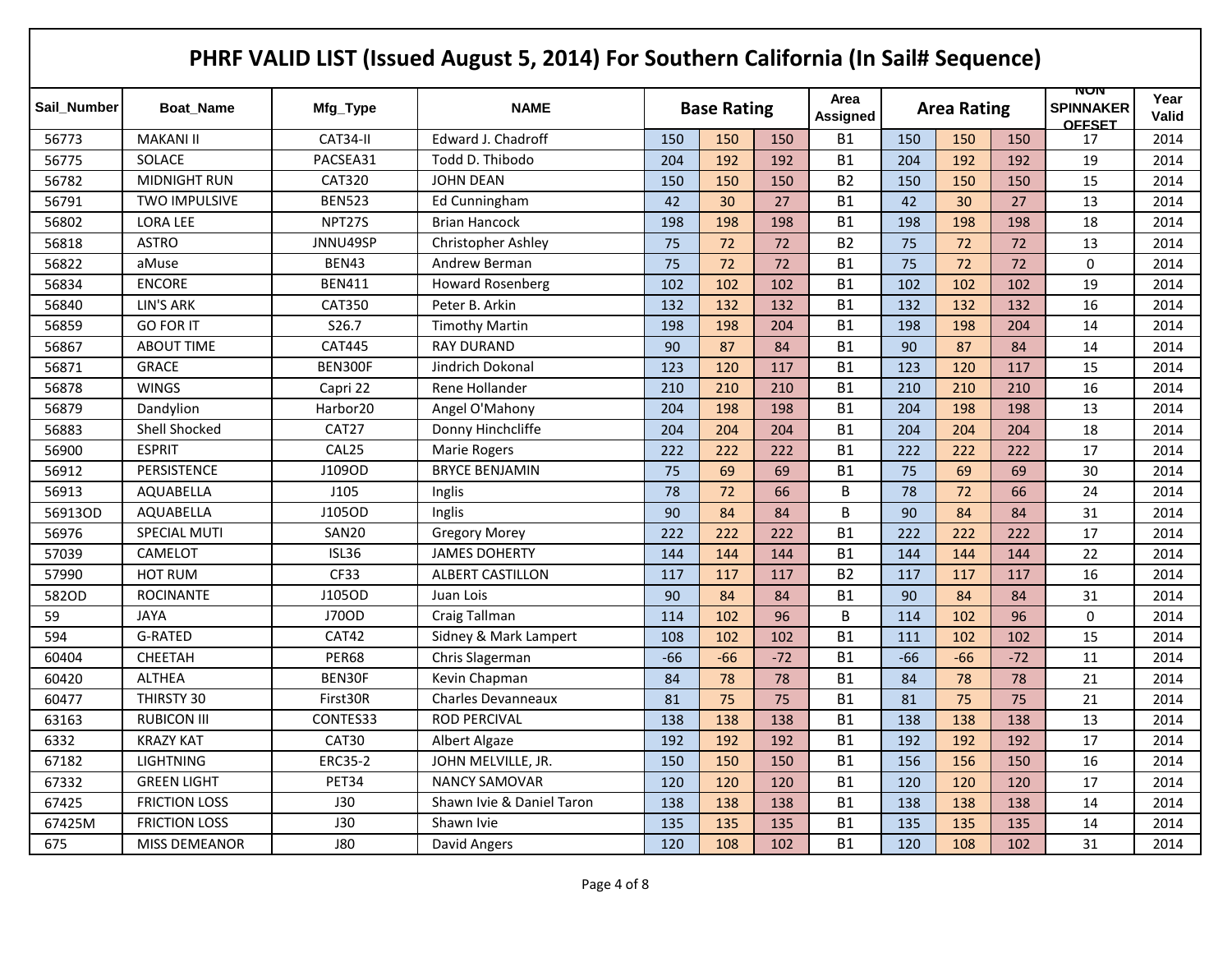|             |                      |                      | PHRF VALID LIST (Issued August 5, 2014) For Southern California (In Sail# Sequence) |       |                    |       |                  |       |                    |       |                                          |               |
|-------------|----------------------|----------------------|-------------------------------------------------------------------------------------|-------|--------------------|-------|------------------|-------|--------------------|-------|------------------------------------------|---------------|
| Sail Number | <b>Boat Name</b>     | Mfg_Type             | <b>NAME</b>                                                                         |       | <b>Base Rating</b> |       | Area<br>Assigned |       | <b>Area Rating</b> |       | NUN<br><b>SPINNAKER</b><br><b>OFFSET</b> | Year<br>Valid |
| 56773       | <b>MAKANI II</b>     | CAT34-II             | Edward J. Chadroff                                                                  | 150   | 150                | 150   | <b>B1</b>        | 150   | 150                | 150   | 17                                       | 2014          |
| 56775       | <b>SOLACE</b>        | PACSEA31             | Todd D. Thibodo                                                                     | 204   | 192                | 192   | <b>B1</b>        | 204   | 192                | 192   | 19                                       | 2014          |
| 56782       | <b>MIDNIGHT RUN</b>  | <b>CAT320</b>        | <b>JOHN DEAN</b>                                                                    | 150   | 150                | 150   | <b>B2</b>        | 150   | 150                | 150   | 15                                       | 2014          |
| 56791       | <b>TWO IMPULSIVE</b> | <b>BEN523</b>        | Ed Cunningham                                                                       | 42    | 30                 | 27    | <b>B1</b>        | 42    | 30                 | 27    | 13                                       | 2014          |
| 56802       | <b>LORA LEE</b>      | NPT <sub>275</sub>   | <b>Brian Hancock</b>                                                                | 198   | 198                | 198   | <b>B1</b>        | 198   | 198                | 198   | 18                                       | 2014          |
| 56818       | <b>ASTRO</b>         | JNNU49SP             | <b>Christopher Ashley</b>                                                           | 75    | 72                 | 72    | <b>B2</b>        | 75    | 72                 | 72    | 13                                       | 2014          |
| 56822       | aMuse                | <b>BEN43</b>         | Andrew Berman                                                                       | 75    | 72                 | 72    | <b>B1</b>        | 75    | 72                 | 72    | 0                                        | 2014          |
| 56834       | <b>ENCORE</b>        | <b>BEN411</b>        | <b>Howard Rosenberg</b>                                                             | 102   | 102                | 102   | <b>B1</b>        | 102   | 102                | 102   | 19                                       | 2014          |
| 56840       | <b>LIN'S ARK</b>     | <b>CAT350</b>        | Peter B. Arkin                                                                      | 132   | 132                | 132   | <b>B1</b>        | 132   | 132                | 132   | 16                                       | 2014          |
| 56859       | <b>GO FOR IT</b>     | S26.7                | <b>Timothy Martin</b>                                                               | 198   | 198                | 204   | <b>B1</b>        | 198   | 198                | 204   | 14                                       | 2014          |
| 56867       | <b>ABOUT TIME</b>    | <b>CAT445</b>        | <b>RAY DURAND</b>                                                                   | 90    | 87                 | 84    | <b>B1</b>        | 90    | 87                 | 84    | 14                                       | 2014          |
| 56871       | <b>GRACE</b>         | BEN300F              | Jindrich Dokonal                                                                    | 123   | 120                | 117   | <b>B1</b>        | 123   | 120                | 117   | 15                                       | 2014          |
| 56878       | <b>WINGS</b>         | Capri 22             | Rene Hollander                                                                      | 210   | 210                | 210   | <b>B1</b>        | 210   | 210                | 210   | 16                                       | 2014          |
| 56879       | Dandylion            | Harbor <sub>20</sub> | Angel O'Mahony                                                                      | 204   | 198                | 198   | <b>B1</b>        | 204   | 198                | 198   | 13                                       | 2014          |
| 56883       | Shell Shocked        | CAT27                | Donny Hinchcliffe                                                                   | 204   | 204                | 204   | <b>B1</b>        | 204   | 204                | 204   | 18                                       | 2014          |
| 56900       | <b>ESPRIT</b>        | CAL25                | <b>Marie Rogers</b>                                                                 | 222   | 222                | 222   | <b>B1</b>        | 222   | 222                | 222   | 17                                       | 2014          |
| 56912       | PERSISTENCE          | J109OD               | <b>BRYCE BENJAMIN</b>                                                               | 75    | 69                 | 69    | <b>B1</b>        | 75    | 69                 | 69    | 30                                       | 2014          |
| 56913       | AQUABELLA            | J105                 | Inglis                                                                              | 78    | 72                 | 66    | B                | 78    | 72                 | 66    | 24                                       | 2014          |
| 56913OD     | AQUABELLA            | J105OD               | Inglis                                                                              | 90    | 84                 | 84    | B                | 90    | 84                 | 84    | 31                                       | 2014          |
| 56976       | <b>SPECIAL MUTI</b>  | SAN20                | <b>Gregory Morey</b>                                                                | 222   | 222                | 222   | <b>B1</b>        | 222   | 222                | 222   | 17                                       | 2014          |
| 57039       | CAMELOT              | ISL36                | <b>JAMES DOHERTY</b>                                                                | 144   | 144                | 144   | <b>B1</b>        | 144   | 144                | 144   | 22                                       | 2014          |
| 57990       | <b>HOT RUM</b>       | <b>CF33</b>          | <b>ALBERT CASTILLON</b>                                                             | 117   | 117                | 117   | <b>B2</b>        | 117   | 117                | 117   | 16                                       | 2014          |
| 582OD       | <b>ROCINANTE</b>     | J105OD               | Juan Lois                                                                           | 90    | 84                 | 84    | <b>B1</b>        | 90    | 84                 | 84    | 31                                       | 2014          |
| 59          | <b>JAYA</b>          | J70OD                | Craig Tallman                                                                       | 114   | 102                | 96    | B                | 114   | 102                | 96    | 0                                        | 2014          |
| 594         | <b>G-RATED</b>       | CAT42                | Sidney & Mark Lampert                                                               | 108   | 102                | 102   | <b>B1</b>        | 111   | 102                | 102   | 15                                       | 2014          |
| 60404       | <b>CHEETAH</b>       | PER68                | Chris Slagerman                                                                     | $-66$ | $-66$              | $-72$ | <b>B1</b>        | $-66$ | $-66$              | $-72$ | 11                                       | 2014          |
| 60420       | <b>ALTHEA</b>        | BEN30F               | Kevin Chapman                                                                       | 84    | 78                 | 78    | <b>B1</b>        | 84    | 78                 | 78    | 21                                       | 2014          |
| 60477       | THIRSTY 30           | First30R             | <b>Charles Devanneaux</b>                                                           | 81    | 75                 | 75    | <b>B1</b>        | 81    | 75                 | 75    | 21                                       | 2014          |
| 63163       | RUBICON III          | CONTES33             | <b>ROD PERCIVAL</b>                                                                 | 138   | 138                | 138   | <b>B1</b>        | 138   | 138                | 138   | 13                                       | 2014          |
| 6332        | <b>KRAZY KAT</b>     | CAT30                | Albert Algaze                                                                       | 192   | 192                | 192   | <b>B1</b>        | 192   | 192                | 192   | 17                                       | 2014          |
| 67182       | <b>LIGHTNING</b>     | <b>ERC35-2</b>       | JOHN MELVILLE, JR.                                                                  | 150   | 150                | 150   | <b>B1</b>        | 156   | 156                | 150   | 16                                       | 2014          |
| 67332       | <b>GREEN LIGHT</b>   | PET34                | <b>NANCY SAMOVAR</b>                                                                | 120   | 120                | 120   | <b>B1</b>        | 120   | 120                | 120   | 17                                       | 2014          |
| 67425       | <b>FRICTION LOSS</b> | J30                  | Shawn Ivie & Daniel Taron                                                           | 138   | 138                | 138   | <b>B1</b>        | 138   | 138                | 138   | 14                                       | 2014          |
| 67425M      | <b>FRICTION LOSS</b> | J30                  | Shawn Ivie                                                                          | 135   | 135                | 135   | <b>B1</b>        | 135   | 135                | 135   | 14                                       | 2014          |
| 675         | MISS DEMEANOR        | <b>J80</b>           | David Angers                                                                        | 120   | 108                | 102   | <b>B1</b>        | 120   | 108                | 102   | 31                                       | 2014          |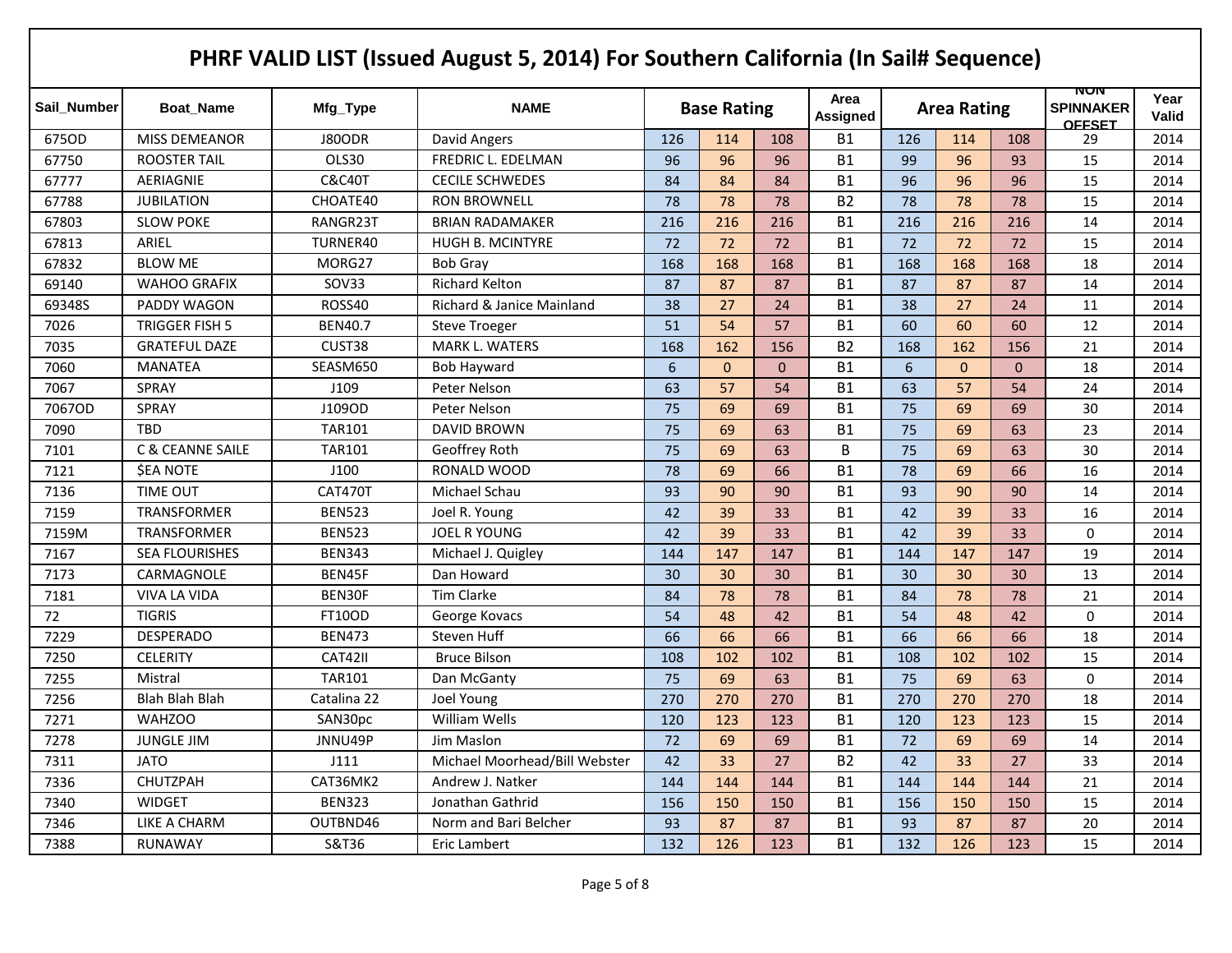|             |                             |                   | PHRF VALID LIST (Issued August 5, 2014) For Southern California (In Sail# Sequence) |     |                    |              |                  |     |                    |          |                                          |                      |
|-------------|-----------------------------|-------------------|-------------------------------------------------------------------------------------|-----|--------------------|--------------|------------------|-----|--------------------|----------|------------------------------------------|----------------------|
| Sail_Number | <b>Boat Name</b>            | Mfg_Type          | <b>NAME</b>                                                                         |     | <b>Base Rating</b> |              | Area<br>Assigned |     | <b>Area Rating</b> |          | NUN<br><b>SPINNAKER</b><br><b>OFFSET</b> | Year<br><b>Valid</b> |
| 675OD       | <b>MISS DEMEANOR</b>        | <b>J80ODR</b>     | David Angers                                                                        | 126 | 114                | 108          | <b>B1</b>        | 126 | 114                | 108      | 29                                       | 2014                 |
| 67750       | <b>ROOSTER TAIL</b>         | OLS30             | FREDRIC L. EDELMAN                                                                  | 96  | 96                 | 96           | <b>B1</b>        | 99  | 96                 | 93       | 15                                       | 2014                 |
| 67777       | AERIAGNIE                   | <b>C&amp;C40T</b> | <b>CECILE SCHWEDES</b>                                                              | 84  | 84                 | 84           | <b>B1</b>        | 96  | 96                 | 96       | 15                                       | 2014                 |
| 67788       | <b>JUBILATION</b>           | CHOATE40          | <b>RON BROWNELL</b>                                                                 | 78  | 78                 | 78           | <b>B2</b>        | 78  | 78                 | 78       | 15                                       | 2014                 |
| 67803       | <b>SLOW POKE</b>            | RANGR23T          | <b>BRIAN RADAMAKER</b>                                                              | 216 | 216                | 216          | <b>B1</b>        | 216 | 216                | 216      | 14                                       | 2014                 |
| 67813       | ARIEL                       | TURNER40          | HUGH B. MCINTYRE                                                                    | 72  | 72                 | 72           | <b>B1</b>        | 72  | 72                 | 72       | 15                                       | 2014                 |
| 67832       | <b>BLOW ME</b>              | MORG27            | <b>Bob Gray</b>                                                                     | 168 | 168                | 168          | <b>B1</b>        | 168 | 168                | 168      | 18                                       | 2014                 |
| 69140       | <b>WAHOO GRAFIX</b>         | SOV33             | <b>Richard Kelton</b>                                                               | 87  | 87                 | 87           | <b>B1</b>        | 87  | 87                 | 87       | 14                                       | 2014                 |
| 69348S      | PADDY WAGON                 | ROSS40            | <b>Richard &amp; Janice Mainland</b>                                                | 38  | 27                 | 24           | <b>B1</b>        | 38  | 27                 | 24       | 11                                       | 2014                 |
| 7026        | TRIGGER FISH 5              | <b>BEN40.7</b>    | <b>Steve Troeger</b>                                                                | 51  | 54                 | 57           | <b>B1</b>        | 60  | 60                 | 60       | 12                                       | 2014                 |
| 7035        | <b>GRATEFUL DAZE</b>        | CUST38            | MARK L. WATERS                                                                      | 168 | 162                | 156          | <b>B2</b>        | 168 | 162                | 156      | 21                                       | 2014                 |
| 7060        | <b>MANATEA</b>              | SEASM650          | <b>Bob Hayward</b>                                                                  | 6   | $\mathbf{0}$       | $\mathbf{0}$ | <b>B1</b>        | 6   | $\Omega$           | $\Omega$ | 18                                       | 2014                 |
| 7067        | SPRAY                       | J109              | Peter Nelson                                                                        | 63  | 57                 | 54           | <b>B1</b>        | 63  | 57                 | 54       | 24                                       | 2014                 |
| 7067OD      | <b>SPRAY</b>                | J109OD            | Peter Nelson                                                                        | 75  | 69                 | 69           | <b>B1</b>        | 75  | 69                 | 69       | 30                                       | 2014                 |
| 7090        | <b>TBD</b>                  | <b>TAR101</b>     | <b>DAVID BROWN</b>                                                                  | 75  | 69                 | 63           | <b>B1</b>        | 75  | 69                 | 63       | 23                                       | 2014                 |
| 7101        | <b>C &amp; CEANNE SAILE</b> | <b>TAR101</b>     | Geoffrey Roth                                                                       | 75  | 69                 | 63           | B                | 75  | 69                 | 63       | 30                                       | 2014                 |
| 7121        | <b>\$EA NOTE</b>            | J100              | RONALD WOOD                                                                         | 78  | 69                 | 66           | <b>B1</b>        | 78  | 69                 | 66       | 16                                       | 2014                 |
| 7136        | <b>TIME OUT</b>             | <b>CAT470T</b>    | Michael Schau                                                                       | 93  | 90                 | 90           | <b>B1</b>        | 93  | 90                 | 90       | 14                                       | 2014                 |
| 7159        | <b>TRANSFORMER</b>          | <b>BEN523</b>     | Joel R. Young                                                                       | 42  | 39                 | 33           | <b>B1</b>        | 42  | 39                 | 33       | 16                                       | 2014                 |
| 7159M       | <b>TRANSFORMER</b>          | <b>BEN523</b>     | JOEL R YOUNG                                                                        | 42  | 39                 | 33           | <b>B1</b>        | 42  | 39                 | 33       | 0                                        | 2014                 |
| 7167        | <b>SEA FLOURISHES</b>       | <b>BEN343</b>     | Michael J. Quigley                                                                  | 144 | 147                | 147          | <b>B1</b>        | 144 | 147                | 147      | 19                                       | 2014                 |
| 7173        | CARMAGNOLE                  | BEN45F            | Dan Howard                                                                          | 30  | 30                 | 30           | <b>B1</b>        | 30  | 30                 | 30       | 13                                       | 2014                 |
| 7181        | <b>VIVA LA VIDA</b>         | BEN30F            | <b>Tim Clarke</b>                                                                   | 84  | 78                 | 78           | <b>B1</b>        | 84  | 78                 | 78       | 21                                       | 2014                 |
| 72          | <b>TIGRIS</b>               | <b>FT10OD</b>     | George Kovacs                                                                       | 54  | 48                 | 42           | <b>B1</b>        | 54  | 48                 | 42       | $\mathbf 0$                              | 2014                 |
| 7229        | <b>DESPERADO</b>            | <b>BEN473</b>     | Steven Huff                                                                         | 66  | 66                 | 66           | <b>B1</b>        | 66  | 66                 | 66       | 18                                       | 2014                 |
| 7250        | <b>CELERITY</b>             | CAT42II           | <b>Bruce Bilson</b>                                                                 | 108 | 102                | 102          | <b>B1</b>        | 108 | 102                | 102      | 15                                       | 2014                 |
| 7255        | Mistral                     | <b>TAR101</b>     | Dan McGanty                                                                         | 75  | 69                 | 63           | <b>B1</b>        | 75  | 69                 | 63       | $\mathbf 0$                              | 2014                 |
| 7256        | <b>Blah Blah Blah</b>       | Catalina 22       | Joel Young                                                                          | 270 | 270                | 270          | <b>B1</b>        | 270 | 270                | 270      | 18                                       | 2014                 |
| 7271        | <b>WAHZOO</b>               | SAN30pc           | William Wells                                                                       | 120 | 123                | 123          | <b>B1</b>        | 120 | 123                | 123      | 15                                       | 2014                 |
| 7278        | <b>JUNGLE JIM</b>           | JNNU49P           | Jim Maslon                                                                          | 72  | 69                 | 69           | <b>B1</b>        | 72  | 69                 | 69       | 14                                       | 2014                 |
| 7311        | <b>JATO</b>                 | J111              | Michael Moorhead/Bill Webster                                                       | 42  | 33                 | 27           | <b>B2</b>        | 42  | 33                 | 27       | 33                                       | 2014                 |
| 7336        | CHUTZPAH                    | CAT36MK2          | Andrew J. Natker                                                                    | 144 | 144                | 144          | <b>B1</b>        | 144 | 144                | 144      | 21                                       | 2014                 |
| 7340        | <b>WIDGET</b>               | <b>BEN323</b>     | Jonathan Gathrid                                                                    | 156 | 150                | 150          | <b>B1</b>        | 156 | 150                | 150      | 15                                       | 2014                 |
| 7346        | LIKE A CHARM                | OUTBND46          | Norm and Bari Belcher                                                               | 93  | 87                 | 87           | <b>B1</b>        | 93  | 87                 | 87       | 20                                       | 2014                 |
| 7388        | <b>RUNAWAY</b>              | S&T36             | Eric Lambert                                                                        | 132 | 126                | 123          | <b>B1</b>        | 132 | 126                | 123      | 15                                       | 2014                 |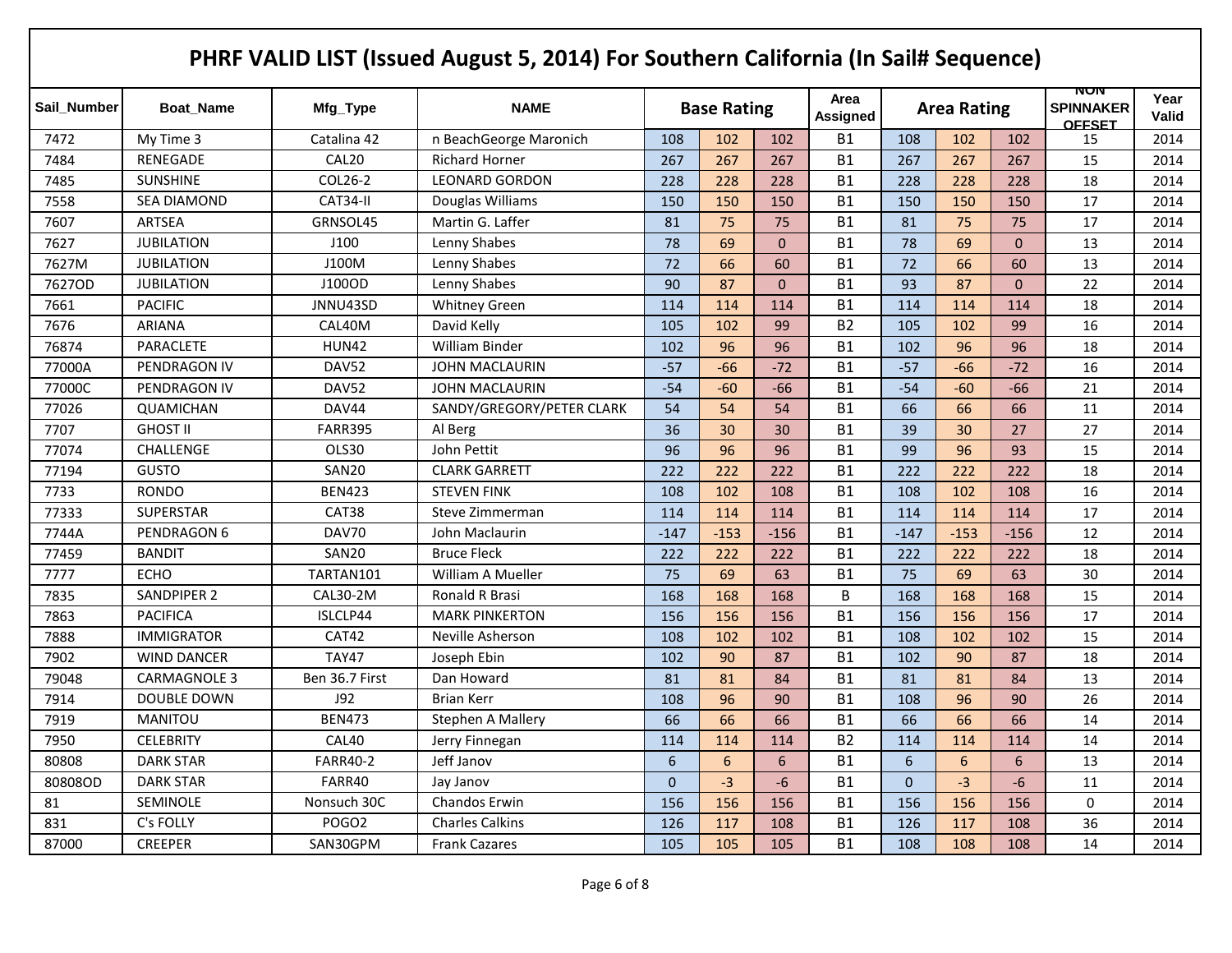| Sail Number | <b>Boat Name</b>    | Mfg_Type          | <b>NAME</b>               | <b>Base Rating</b> |        |              | Area<br>Assigned |                | <b>Area Rating</b> |                | NUN<br><b>SPINNAKER</b><br><b>OFFSET</b> | Year<br>Valid |
|-------------|---------------------|-------------------|---------------------------|--------------------|--------|--------------|------------------|----------------|--------------------|----------------|------------------------------------------|---------------|
| 7472        | My Time 3           | Catalina 42       | n BeachGeorge Maronich    | 108                | 102    | 102          | <b>B1</b>        | 108            | 102                | 102            | 15                                       | 2014          |
| 7484        | <b>RENEGADE</b>     | CAL <sub>20</sub> | <b>Richard Horner</b>     | 267                | 267    | 267          | <b>B1</b>        | 267            | 267                | 267            | 15                                       | 2014          |
| 7485        | <b>SUNSHINE</b>     | COL26-2           | <b>LEONARD GORDON</b>     | 228                | 228    | 228          | <b>B1</b>        | 228            | 228                | 228            | 18                                       | 2014          |
| 7558        | <b>SEA DIAMOND</b>  | CAT34-II          | Douglas Williams          | 150                | 150    | 150          | <b>B1</b>        | 150            | 150                | 150            | 17                                       | 2014          |
| 7607        | <b>ARTSEA</b>       | GRNSOL45          | Martin G. Laffer          | 81                 | 75     | 75           | <b>B1</b>        | 81             | 75                 | 75             | 17                                       | 2014          |
| 7627        | <b>JUBILATION</b>   | J100              | Lenny Shabes              | 78                 | 69     | $\mathbf 0$  | <b>B1</b>        | 78             | 69                 | $\overline{0}$ | 13                                       | 2014          |
| 7627M       | <b>JUBILATION</b>   | J100M             | Lenny Shabes              | 72                 | 66     | 60           | <b>B1</b>        | 72             | 66                 | 60             | 13                                       | 2014          |
| 7627OD      | <b>JUBILATION</b>   | J100OD            | Lenny Shabes              | 90                 | 87     | $\mathbf{0}$ | <b>B1</b>        | 93             | 87                 | $\Omega$       | 22                                       | 2014          |
| 7661        | <b>PACIFIC</b>      | JNNU43SD          | <b>Whitney Green</b>      | 114                | 114    | 114          | <b>B1</b>        | 114            | 114                | 114            | 18                                       | 2014          |
| 7676        | <b>ARIANA</b>       | CAL40M            | David Kelly               | 105                | 102    | 99           | <b>B2</b>        | 105            | 102                | 99             | 16                                       | 2014          |
| 76874       | PARACLETE           | <b>HUN42</b>      | <b>William Binder</b>     | 102                | 96     | 96           | <b>B1</b>        | 102            | 96                 | 96             | 18                                       | 2014          |
| 77000A      | PENDRAGON IV        | DAV52             | JOHN MACLAURIN            | $-57$              | $-66$  | $-72$        | <b>B1</b>        | $-57$          | $-66$              | $-72$          | 16                                       | 2014          |
| 77000C      | PENDRAGON IV        | DAV52             | JOHN MACLAURIN            | $-54$              | $-60$  | $-66$        | <b>B1</b>        | $-54$          | $-60$              | $-66$          | 21                                       | 2014          |
| 77026       | <b>QUAMICHAN</b>    | DAV44             | SANDY/GREGORY/PETER CLARK | 54                 | 54     | 54           | <b>B1</b>        | 66             | 66                 | 66             | 11                                       | 2014          |
| 7707        | <b>GHOST II</b>     | <b>FARR395</b>    | Al Berg                   | 36                 | 30     | 30           | <b>B1</b>        | 39             | 30                 | 27             | 27                                       | 2014          |
| 77074       | <b>CHALLENGE</b>    | OLS30             | John Pettit               | 96                 | 96     | 96           | <b>B1</b>        | 99             | 96                 | 93             | 15                                       | 2014          |
| 77194       | <b>GUSTO</b>        | SAN20             | <b>CLARK GARRETT</b>      | 222                | 222    | 222          | <b>B1</b>        | 222            | 222                | 222            | 18                                       | 2014          |
| 7733        | <b>RONDO</b>        | <b>BEN423</b>     | <b>STEVEN FINK</b>        | 108                | 102    | 108          | <b>B1</b>        | 108            | 102                | 108            | 16                                       | 2014          |
| 77333       | <b>SUPERSTAR</b>    | CAT38             | Steve Zimmerman           | 114                | 114    | 114          | <b>B1</b>        | 114            | 114                | 114            | 17                                       | 2014          |
| 7744A       | PENDRAGON 6         | DAV70             | John Maclaurin            | $-147$             | $-153$ | $-156$       | <b>B1</b>        | $-147$         | $-153$             | $-156$         | 12                                       | 2014          |
| 77459       | <b>BANDIT</b>       | SAN20             | <b>Bruce Fleck</b>        | 222                | 222    | 222          | <b>B1</b>        | 222            | 222                | 222            | 18                                       | 2014          |
| 7777        | <b>ECHO</b>         | TARTAN101         | <b>William A Mueller</b>  | 75                 | 69     | 63           | <b>B1</b>        | 75             | 69                 | 63             | 30                                       | 2014          |
| 7835        | <b>SANDPIPER 2</b>  | CAL30-2M          | Ronald R Brasi            | 168                | 168    | 168          | B                | 168            | 168                | 168            | 15                                       | 2014          |
| 7863        | <b>PACIFICA</b>     | ISLCLP44          | <b>MARK PINKERTON</b>     | 156                | 156    | 156          | <b>B1</b>        | 156            | 156                | 156            | 17                                       | 2014          |
| 7888        | <b>IMMIGRATOR</b>   | CAT42             | Neville Asherson          | 108                | 102    | 102          | <b>B1</b>        | 108            | 102                | 102            | 15                                       | 2014          |
| 7902        | <b>WIND DANCER</b>  | <b>TAY47</b>      | Joseph Ebin               | 102                | 90     | 87           | <b>B1</b>        | 102            | 90                 | 87             | 18                                       | 2014          |
| 79048       | <b>CARMAGNOLE 3</b> | Ben 36.7 First    | Dan Howard                | 81                 | 81     | 84           | <b>B1</b>        | 81             | 81                 | 84             | 13                                       | 2014          |
| 7914        | DOUBLE DOWN         | J92               | <b>Brian Kerr</b>         | 108                | 96     | 90           | <b>B1</b>        | 108            | 96                 | 90             | 26                                       | 2014          |
| 7919        | <b>MANITOU</b>      | <b>BEN473</b>     | <b>Stephen A Mallery</b>  | 66                 | 66     | 66           | <b>B1</b>        | 66             | 66                 | 66             | 14                                       | 2014          |
| 7950        | <b>CELEBRITY</b>    | CAL40             | Jerry Finnegan            | 114                | 114    | 114          | <b>B2</b>        | 114            | 114                | 114            | 14                                       | 2014          |
| 80808       | <b>DARK STAR</b>    | <b>FARR40-2</b>   | Jeff Janov                | $6\phantom{a}$     | 6      | 6            | <b>B1</b>        | $6\phantom{a}$ | 6                  | 6              | 13                                       | 2014          |
| 80808OD     | <b>DARK STAR</b>    | FARR40            | Jay Janov                 | $\mathbf{0}$       | $-3$   | -6           | <b>B1</b>        | $\mathbf{0}$   | $-3$               | -6             | 11                                       | 2014          |
| 81          | SEMINOLE            | Nonsuch 30C       | Chandos Erwin             | 156                | 156    | 156          | <b>B1</b>        | 156            | 156                | 156            | 0                                        | 2014          |
| 831         | C's FOLLY           | POGO <sub>2</sub> | <b>Charles Calkins</b>    | 126                | 117    | 108          | <b>B1</b>        | 126            | 117                | 108            | 36                                       | 2014          |
| 87000       | <b>CREEPER</b>      | SAN30GPM          | <b>Frank Cazares</b>      | 105                | 105    | 105          | <b>B1</b>        | 108            | 108                | 108            | 14                                       | 2014          |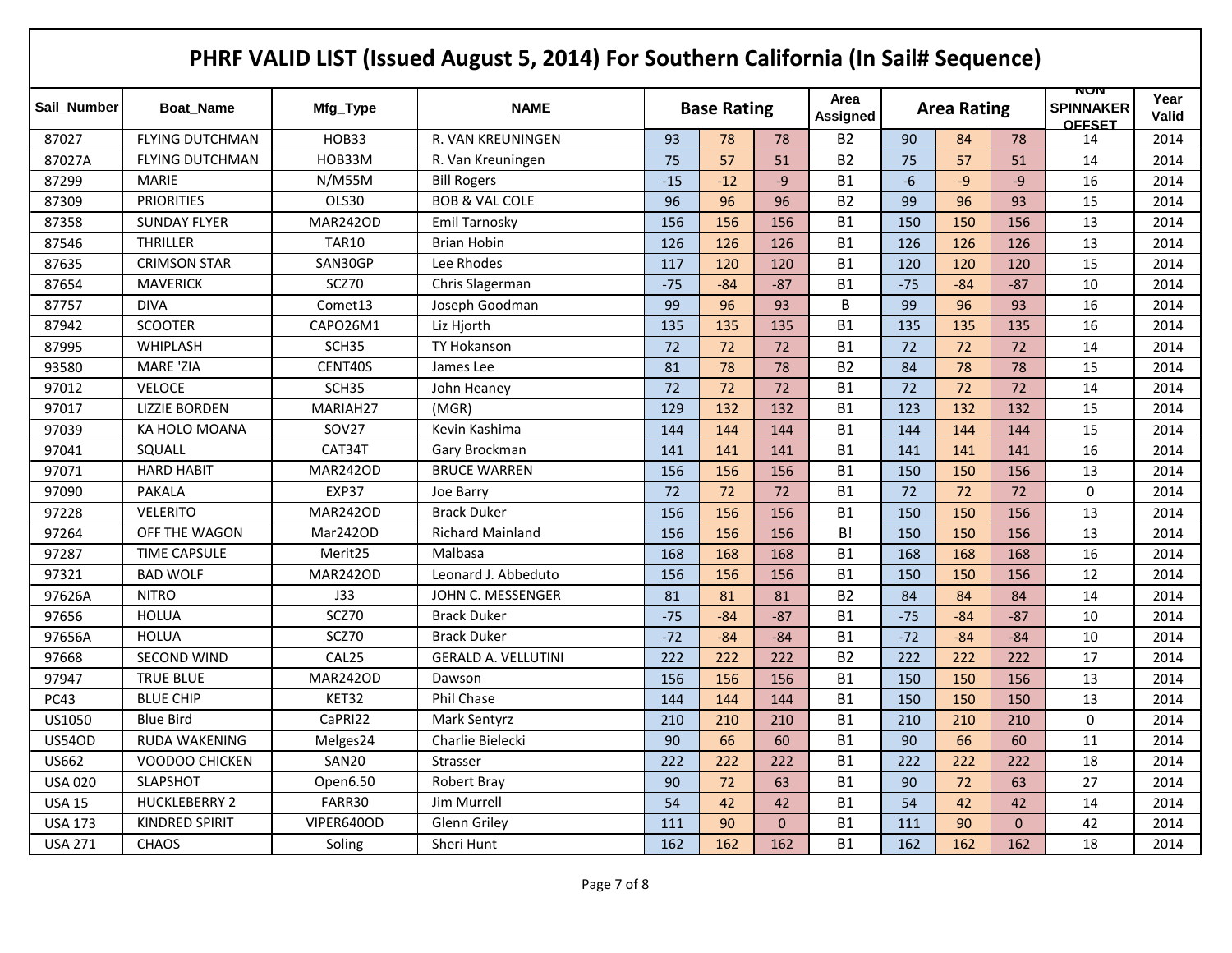|                |                        |                   | PHRF VALID LIST (Issued August 5, 2014) For Southern California (In Sail# Sequence) |       |                    |              |                  |       |                    |              |                                          |                      |
|----------------|------------------------|-------------------|-------------------------------------------------------------------------------------|-------|--------------------|--------------|------------------|-------|--------------------|--------------|------------------------------------------|----------------------|
| Sail Number    | <b>Boat Name</b>       | Mfg_Type          | <b>NAME</b>                                                                         |       | <b>Base Rating</b> |              | Area<br>Assigned |       | <b>Area Rating</b> |              | NUN<br><b>SPINNAKER</b><br><b>OFFSET</b> | Year<br><b>Valid</b> |
| 87027          | <b>FLYING DUTCHMAN</b> | HOB33             | R. VAN KREUNINGEN                                                                   | 93    | 78                 | 78           | <b>B2</b>        | 90    | 84                 | 78           | 14                                       | 2014                 |
| 87027A         | <b>FLYING DUTCHMAN</b> | HOB33M            | R. Van Kreuningen                                                                   | 75    | 57                 | 51           | <b>B2</b>        | 75    | 57                 | 51           | 14                                       | 2014                 |
| 87299          | <b>MARIE</b>           | N/M55M            | <b>Bill Rogers</b>                                                                  | $-15$ | $-12$              | $-9$         | <b>B1</b>        | $-6$  | $-9$               | $-9$         | 16                                       | 2014                 |
| 87309          | <b>PRIORITIES</b>      | OLS30             | <b>BOB &amp; VAL COLE</b>                                                           | 96    | 96                 | 96           | <b>B2</b>        | 99    | 96                 | 93           | 15                                       | 2014                 |
| 87358          | <b>SUNDAY FLYER</b>    | <b>MAR242OD</b>   | Emil Tarnosky                                                                       | 156   | 156                | 156          | <b>B1</b>        | 150   | 150                | 156          | 13                                       | 2014                 |
| 87546          | <b>THRILLER</b>        | <b>TAR10</b>      | <b>Brian Hobin</b>                                                                  | 126   | 126                | 126          | <b>B1</b>        | 126   | 126                | 126          | 13                                       | 2014                 |
| 87635          | <b>CRIMSON STAR</b>    | SAN30GP           | Lee Rhodes                                                                          | 117   | 120                | 120          | <b>B1</b>        | 120   | 120                | 120          | 15                                       | 2014                 |
| 87654          | <b>MAVERICK</b>        | SCZ70             | Chris Slagerman                                                                     | $-75$ | $-84$              | -87          | <b>B1</b>        | $-75$ | $-84$              | $-87$        | 10                                       | 2014                 |
| 87757          | <b>DIVA</b>            | Comet13           | Joseph Goodman                                                                      | 99    | 96                 | 93           | B                | 99    | 96                 | 93           | 16                                       | 2014                 |
| 87942          | <b>SCOOTER</b>         | CAPO26M1          | Liz Hjorth                                                                          | 135   | 135                | 135          | <b>B1</b>        | 135   | 135                | 135          | 16                                       | 2014                 |
| 87995          | WHIPLASH               | SCH <sub>35</sub> | TY Hokanson                                                                         | 72    | 72                 | 72           | <b>B1</b>        | 72    | 72                 | 72           | 14                                       | 2014                 |
| 93580          | <b>MARE 'ZIA</b>       | CENT40S           | James Lee                                                                           | 81    | 78                 | 78           | <b>B2</b>        | 84    | 78                 | 78           | 15                                       | 2014                 |
| 97012          | <b>VELOCE</b>          | SCH <sub>35</sub> | John Heaney                                                                         | 72    | 72                 | 72           | <b>B1</b>        | 72    | 72                 | 72           | 14                                       | 2014                 |
| 97017          | <b>LIZZIE BORDEN</b>   | MARIAH27          | (MGR)                                                                               | 129   | 132                | 132          | <b>B1</b>        | 123   | 132                | 132          | 15                                       | 2014                 |
| 97039          | KA HOLO MOANA          | <b>SOV27</b>      | Kevin Kashima                                                                       | 144   | 144                | 144          | <b>B1</b>        | 144   | 144                | 144          | 15                                       | 2014                 |
| 97041          | SQUALL                 | CAT34T            | Gary Brockman                                                                       | 141   | 141                | 141          | <b>B1</b>        | 141   | 141                | 141          | 16                                       | 2014                 |
| 97071          | <b>HARD HABIT</b>      | <b>MAR242OD</b>   | <b>BRUCE WARREN</b>                                                                 | 156   | 156                | 156          | <b>B1</b>        | 150   | 150                | 156          | 13                                       | 2014                 |
| 97090          | <b>PAKALA</b>          | EXP37             | Joe Barry                                                                           | 72    | 72                 | 72           | <b>B1</b>        | 72    | 72                 | 72           | 0                                        | 2014                 |
| 97228          | <b>VELERITO</b>        | <b>MAR242OD</b>   | <b>Brack Duker</b>                                                                  | 156   | 156                | 156          | <b>B1</b>        | 150   | 150                | 156          | 13                                       | 2014                 |
| 97264          | OFF THE WAGON          | Mar242OD          | <b>Richard Mainland</b>                                                             | 156   | 156                | 156          | B!               | 150   | 150                | 156          | 13                                       | 2014                 |
| 97287          | <b>TIME CAPSULE</b>    | Merit25           | Malbasa                                                                             | 168   | 168                | 168          | <b>B1</b>        | 168   | 168                | 168          | 16                                       | 2014                 |
| 97321          | <b>BAD WOLF</b>        | <b>MAR242OD</b>   | Leonard J. Abbeduto                                                                 | 156   | 156                | 156          | <b>B1</b>        | 150   | 150                | 156          | 12                                       | 2014                 |
| 97626A         | <b>NITRO</b>           | J33               | JOHN C. MESSENGER                                                                   | 81    | 81                 | 81           | <b>B2</b>        | 84    | 84                 | 84           | 14                                       | 2014                 |
| 97656          | <b>HOLUA</b>           | SCZ70             | <b>Brack Duker</b>                                                                  | $-75$ | $-84$              | $-87$        | <b>B1</b>        | $-75$ | $-84$              | $-87$        | 10                                       | 2014                 |
| 97656A         | <b>HOLUA</b>           | SCZ70             | <b>Brack Duker</b>                                                                  | $-72$ | $-84$              | $-84$        | <b>B1</b>        | $-72$ | $-84$              | $-84$        | 10                                       | 2014                 |
| 97668          | <b>SECOND WIND</b>     | CAL25             | <b>GERALD A. VELLUTINI</b>                                                          | 222   | 222                | 222          | <b>B2</b>        | 222   | 222                | 222          | 17                                       | 2014                 |
| 97947          | <b>TRUE BLUE</b>       | <b>MAR242OD</b>   | Dawson                                                                              | 156   | 156                | 156          | <b>B1</b>        | 150   | 150                | 156          | 13                                       | 2014                 |
| <b>PC43</b>    | <b>BLUE CHIP</b>       | KET32             | Phil Chase                                                                          | 144   | 144                | 144          | <b>B1</b>        | 150   | 150                | 150          | 13                                       | 2014                 |
| US1050         | <b>Blue Bird</b>       | CaPRI22           | Mark Sentyrz                                                                        | 210   | 210                | 210          | <b>B1</b>        | 210   | 210                | 210          | 0                                        | 2014                 |
| <b>US54OD</b>  | RUDA WAKENING          | Melges24          | Charlie Bielecki                                                                    | 90    | 66                 | 60           | <b>B1</b>        | 90    | 66                 | 60           | 11                                       | 2014                 |
| US662          | VOODOO CHICKEN         | SAN20             | Strasser                                                                            | 222   | 222                | 222          | <b>B1</b>        | 222   | 222                | 222          | 18                                       | 2014                 |
| <b>USA 020</b> | SLAPSHOT               | Open6.50          | Robert Bray                                                                         | 90    | 72                 | 63           | <b>B1</b>        | 90    | 72                 | 63           | 27                                       | 2014                 |
| <b>USA 15</b>  | <b>HUCKLEBERRY 2</b>   | FARR30            | Jim Murrell                                                                         | 54    | 42                 | 42           | <b>B1</b>        | 54    | 42                 | 42           | 14                                       | 2014                 |
| <b>USA 173</b> | KINDRED SPIRIT         | VIPER640OD        | Glenn Griley                                                                        | 111   | 90                 | $\mathbf{0}$ | <b>B1</b>        | 111   | 90                 | $\mathbf{0}$ | 42                                       | 2014                 |
| <b>USA 271</b> | CHAOS                  | Soling            | Sheri Hunt                                                                          | 162   | 162                | 162          | <b>B1</b>        | 162   | 162                | 162          | 18                                       | 2014                 |